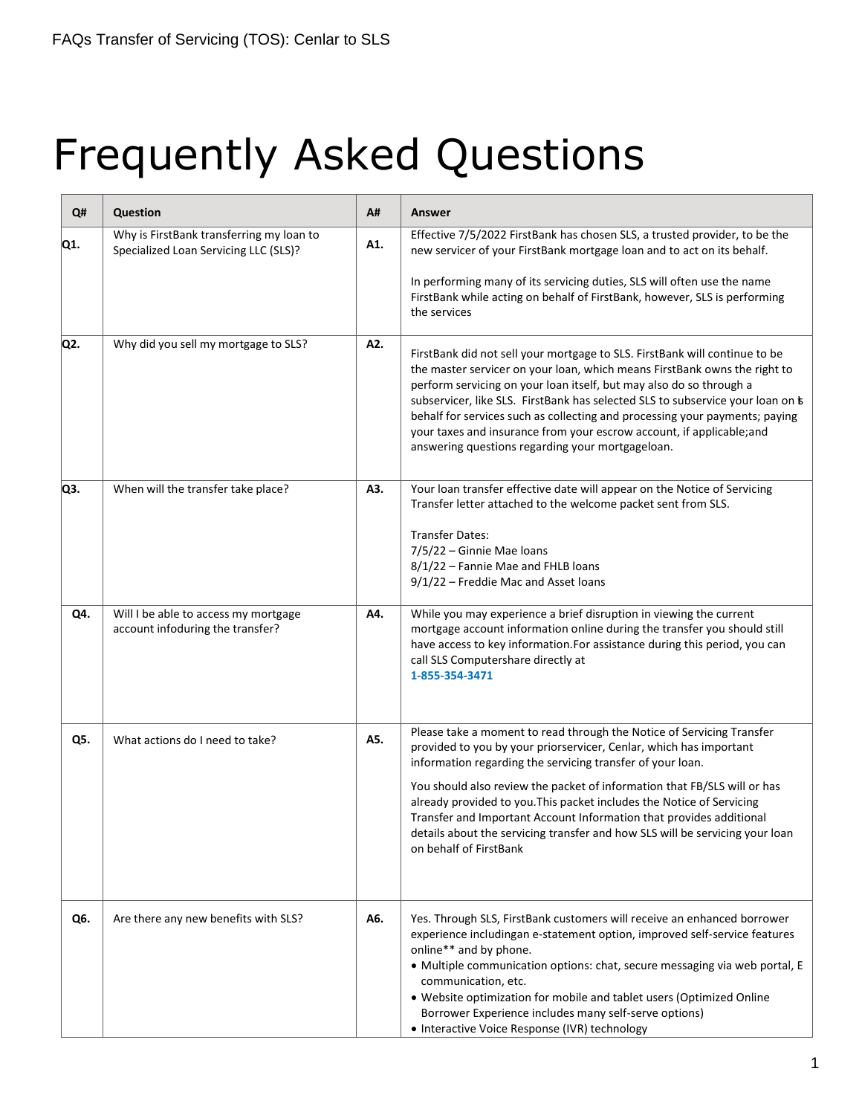## Frequently Asked Questions

| Q#  | <b>Question</b>                                                                   | A#  | <b>Answer</b>                                                                                                                                                                                                                                                                                                                                                                                                                                                                                                                |
|-----|-----------------------------------------------------------------------------------|-----|------------------------------------------------------------------------------------------------------------------------------------------------------------------------------------------------------------------------------------------------------------------------------------------------------------------------------------------------------------------------------------------------------------------------------------------------------------------------------------------------------------------------------|
| Q1. | Why is FirstBank transferring my loan to<br>Specialized Loan Servicing LLC (SLS)? | A1. | Effective 7/5/2022 FirstBank has chosen SLS, a trusted provider, to be the<br>new servicer of your FirstBank mortgage loan and to act on its behalf.                                                                                                                                                                                                                                                                                                                                                                         |
|     |                                                                                   |     | In performing many of its servicing duties, SLS will often use the name<br>FirstBank while acting on behalf of FirstBank, however, SLS is performing<br>the services                                                                                                                                                                                                                                                                                                                                                         |
| Q2. | Why did you sell my mortgage to SLS?                                              | A2. | FirstBank did not sell your mortgage to SLS. FirstBank will continue to be<br>the master servicer on your loan, which means FirstBank owns the right to<br>perform servicing on your loan itself, but may also do so through a<br>subservicer, like SLS. FirstBank has selected SLS to subservice your loan on b<br>behalf for services such as collecting and processing your payments; paying<br>your taxes and insurance from your escrow account, if applicable; and<br>answering questions regarding your mortgageloan. |
| Q3. | When will the transfer take place?                                                | A3. | Your loan transfer effective date will appear on the Notice of Servicing<br>Transfer letter attached to the welcome packet sent from SLS.                                                                                                                                                                                                                                                                                                                                                                                    |
|     |                                                                                   |     | <b>Transfer Dates:</b><br>7/5/22 - Ginnie Mae loans<br>8/1/22 - Fannie Mae and FHLB loans<br>9/1/22 - Freddie Mac and Asset loans                                                                                                                                                                                                                                                                                                                                                                                            |
| Q4. | Will I be able to access my mortgage<br>account infoduring the transfer?          | A4. | While you may experience a brief disruption in viewing the current<br>mortgage account information online during the transfer you should still<br>have access to key information. For assistance during this period, you can<br>call SLS Computershare directly at<br>1-855-354-3471                                                                                                                                                                                                                                         |
| Q5. | What actions do I need to take?                                                   | A5. | Please take a moment to read through the Notice of Servicing Transfer<br>provided to you by your priorservicer, Cenlar, which has important<br>information regarding the servicing transfer of your loan.                                                                                                                                                                                                                                                                                                                    |
|     |                                                                                   |     | You should also review the packet of information that FB/SLS will or has<br>already provided to you. This packet includes the Notice of Servicing<br>Transfer and Important Account Information that provides additional<br>details about the servicing transfer and how SLS will be servicing your loan<br>on behalf of FirstBank                                                                                                                                                                                           |
| Q6. | Are there any new benefits with SLS?                                              | A6. | Yes. Through SLS, FirstBank customers will receive an enhanced borrower<br>experience includingan e-statement option, improved self-service features<br>online** and by phone.<br>· Multiple communication options: chat, secure messaging via web portal, E<br>communication, etc.<br>• Website optimization for mobile and tablet users (Optimized Online<br>Borrower Experience includes many self-serve options)                                                                                                         |
|     |                                                                                   |     | • Interactive Voice Response (IVR) technology                                                                                                                                                                                                                                                                                                                                                                                                                                                                                |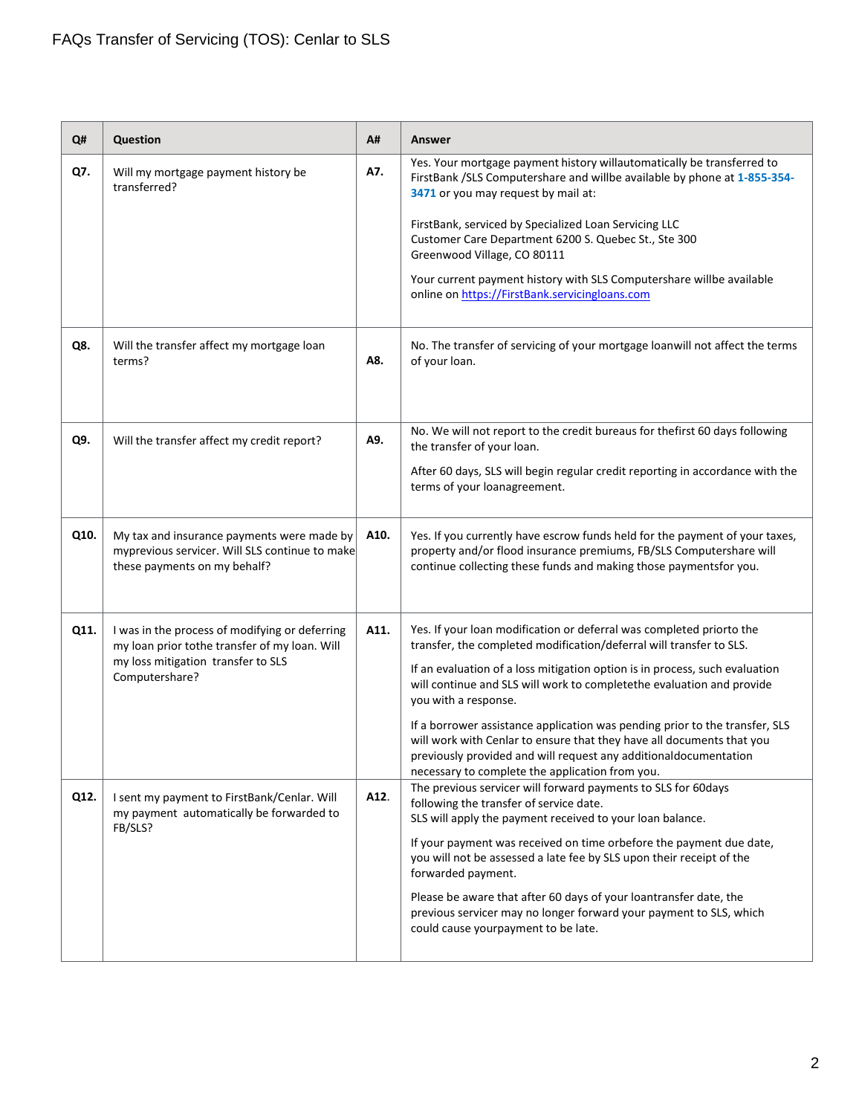| Q#   | Question                                                                                                                                                | A#   | <b>Answer</b>                                                                                                                                                                                                                                                                                                                                                                                                                                                                                                                                                                   |
|------|---------------------------------------------------------------------------------------------------------------------------------------------------------|------|---------------------------------------------------------------------------------------------------------------------------------------------------------------------------------------------------------------------------------------------------------------------------------------------------------------------------------------------------------------------------------------------------------------------------------------------------------------------------------------------------------------------------------------------------------------------------------|
| Q7.  | Will my mortgage payment history be<br>transferred?                                                                                                     | A7.  | Yes. Your mortgage payment history willautomatically be transferred to<br>FirstBank /SLS Computershare and willbe available by phone at 1-855-354-<br>3471 or you may request by mail at:                                                                                                                                                                                                                                                                                                                                                                                       |
|      |                                                                                                                                                         |      | FirstBank, serviced by Specialized Loan Servicing LLC<br>Customer Care Department 6200 S. Quebec St., Ste 300<br>Greenwood Village, CO 80111                                                                                                                                                                                                                                                                                                                                                                                                                                    |
|      |                                                                                                                                                         |      | Your current payment history with SLS Computershare willbe available<br>online on https://FirstBank.servicingloans.com                                                                                                                                                                                                                                                                                                                                                                                                                                                          |
| Q8.  | Will the transfer affect my mortgage loan<br>terms?                                                                                                     | A8.  | No. The transfer of servicing of your mortgage loanwill not affect the terms<br>of your loan.                                                                                                                                                                                                                                                                                                                                                                                                                                                                                   |
| Q9.  | Will the transfer affect my credit report?                                                                                                              | A9.  | No. We will not report to the credit bureaus for thefirst 60 days following<br>the transfer of your loan.                                                                                                                                                                                                                                                                                                                                                                                                                                                                       |
|      |                                                                                                                                                         |      | After 60 days, SLS will begin regular credit reporting in accordance with the<br>terms of your loanagreement.                                                                                                                                                                                                                                                                                                                                                                                                                                                                   |
| Q10. | My tax and insurance payments were made by<br>myprevious servicer. Will SLS continue to make<br>these payments on my behalf?                            | A10. | Yes. If you currently have escrow funds held for the payment of your taxes,<br>property and/or flood insurance premiums, FB/SLS Computershare will<br>continue collecting these funds and making those paymentsfor you.                                                                                                                                                                                                                                                                                                                                                         |
| Q11. | I was in the process of modifying or deferring<br>my loan prior tothe transfer of my loan. Will<br>my loss mitigation transfer to SLS<br>Computershare? | A11. | Yes. If your loan modification or deferral was completed priorto the<br>transfer, the completed modification/deferral will transfer to SLS.<br>If an evaluation of a loss mitigation option is in process, such evaluation<br>will continue and SLS will work to completethe evaluation and provide<br>you with a response.<br>If a borrower assistance application was pending prior to the transfer, SLS<br>will work with Cenlar to ensure that they have all documents that you<br>previously provided and will request any additionaldocumentation                         |
| Q12. | I sent my payment to FirstBank/Cenlar. Will<br>my payment automatically be forwarded to<br>FB/SLS?                                                      | A12. | necessary to complete the application from you.<br>The previous servicer will forward payments to SLS for 60days<br>following the transfer of service date.<br>SLS will apply the payment received to your loan balance.<br>If your payment was received on time orbefore the payment due date,<br>you will not be assessed a late fee by SLS upon their receipt of the<br>forwarded payment.<br>Please be aware that after 60 days of your loantransfer date, the<br>previous servicer may no longer forward your payment to SLS, which<br>could cause yourpayment to be late. |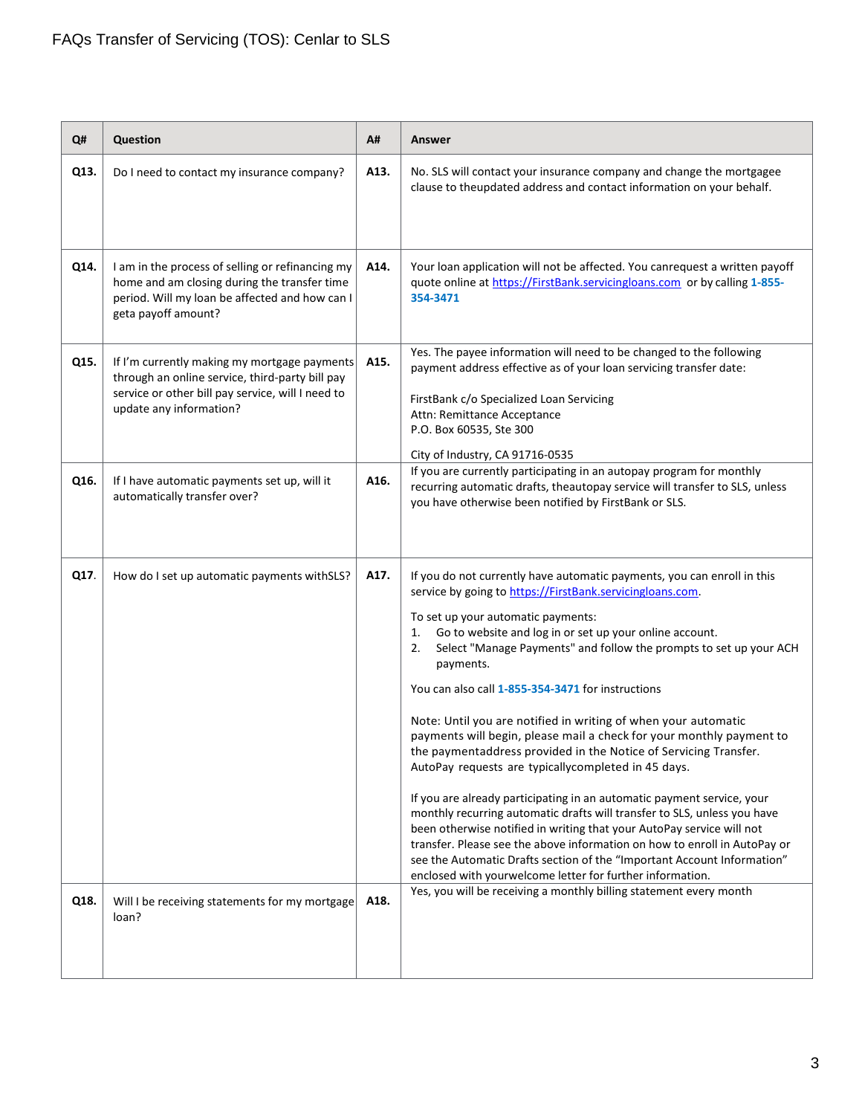| Q#   | <b>Question</b>                                                                                                                                                                 | A#   | Answer                                                                                                                                                                                                                                                                                                                                                                                                                                                                                                                                                                                                                                                                                                                                                                                                                                                                                                                                                                                                                                                                                                             |
|------|---------------------------------------------------------------------------------------------------------------------------------------------------------------------------------|------|--------------------------------------------------------------------------------------------------------------------------------------------------------------------------------------------------------------------------------------------------------------------------------------------------------------------------------------------------------------------------------------------------------------------------------------------------------------------------------------------------------------------------------------------------------------------------------------------------------------------------------------------------------------------------------------------------------------------------------------------------------------------------------------------------------------------------------------------------------------------------------------------------------------------------------------------------------------------------------------------------------------------------------------------------------------------------------------------------------------------|
| Q13. | Do I need to contact my insurance company?                                                                                                                                      | A13. | No. SLS will contact your insurance company and change the mortgagee<br>clause to theupdated address and contact information on your behalf.                                                                                                                                                                                                                                                                                                                                                                                                                                                                                                                                                                                                                                                                                                                                                                                                                                                                                                                                                                       |
| Q14. | I am in the process of selling or refinancing my<br>home and am closing during the transfer time<br>period. Will my loan be affected and how can I<br>geta payoff amount?       | A14. | Your loan application will not be affected. You canrequest a written payoff<br>quote online at https://FirstBank.servicingloans.com or by calling 1-855-<br>354-3471                                                                                                                                                                                                                                                                                                                                                                                                                                                                                                                                                                                                                                                                                                                                                                                                                                                                                                                                               |
| Q15. | If I'm currently making my mortgage payments<br>through an online service, third-party bill pay<br>service or other bill pay service, will I need to<br>update any information? | A15. | Yes. The payee information will need to be changed to the following<br>payment address effective as of your loan servicing transfer date:<br>FirstBank c/o Specialized Loan Servicing<br>Attn: Remittance Acceptance<br>P.O. Box 60535, Ste 300<br>City of Industry, CA 91716-0535                                                                                                                                                                                                                                                                                                                                                                                                                                                                                                                                                                                                                                                                                                                                                                                                                                 |
| Q16. | If I have automatic payments set up, will it<br>automatically transfer over?                                                                                                    | A16. | If you are currently participating in an autopay program for monthly<br>recurring automatic drafts, theautopay service will transfer to SLS, unless<br>you have otherwise been notified by FirstBank or SLS.                                                                                                                                                                                                                                                                                                                                                                                                                                                                                                                                                                                                                                                                                                                                                                                                                                                                                                       |
| Q17. | How do I set up automatic payments withSLS?                                                                                                                                     | A17. | If you do not currently have automatic payments, you can enroll in this<br>service by going to https://FirstBank.servicingloans.com.<br>To set up your automatic payments:<br>Go to website and log in or set up your online account.<br>1.<br>Select "Manage Payments" and follow the prompts to set up your ACH<br>2.<br>payments.<br>You can also call 1-855-354-3471 for instructions<br>Note: Until you are notified in writing of when your automatic<br>payments will begin, please mail a check for your monthly payment to<br>the paymentaddress provided in the Notice of Servicing Transfer.<br>AutoPay requests are typicallycompleted in 45 days.<br>If you are already participating in an automatic payment service, your<br>monthly recurring automatic drafts will transfer to SLS, unless you have<br>been otherwise notified in writing that your AutoPay service will not<br>transfer. Please see the above information on how to enroll in AutoPay or<br>see the Automatic Drafts section of the "Important Account Information"<br>enclosed with yourwelcome letter for further information. |
| Q18. | Will I be receiving statements for my mortgage<br>loan?                                                                                                                         | A18. | Yes, you will be receiving a monthly billing statement every month                                                                                                                                                                                                                                                                                                                                                                                                                                                                                                                                                                                                                                                                                                                                                                                                                                                                                                                                                                                                                                                 |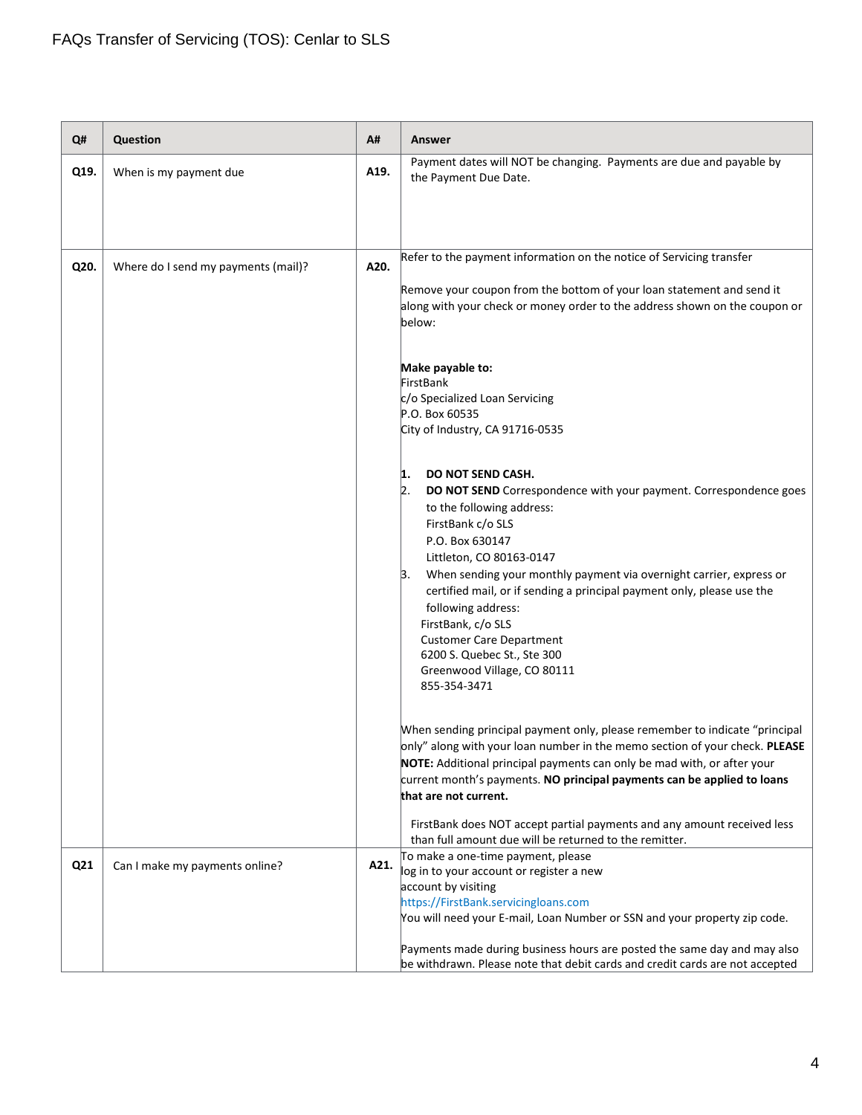| Q#   | <b>Question</b>                     | A#   | <b>Answer</b>                                                                                                                                          |
|------|-------------------------------------|------|--------------------------------------------------------------------------------------------------------------------------------------------------------|
| Q19. | When is my payment due              | A19. | Payment dates will NOT be changing. Payments are due and payable by<br>the Payment Due Date.                                                           |
|      |                                     |      |                                                                                                                                                        |
|      |                                     |      |                                                                                                                                                        |
| Q20. |                                     | A20. | Refer to the payment information on the notice of Servicing transfer                                                                                   |
|      | Where do I send my payments (mail)? |      | Remove your coupon from the bottom of your loan statement and send it                                                                                  |
|      |                                     |      | along with your check or money order to the address shown on the coupon or                                                                             |
|      |                                     |      | below:                                                                                                                                                 |
|      |                                     |      | Make payable to:                                                                                                                                       |
|      |                                     |      | FirstBank                                                                                                                                              |
|      |                                     |      | c/o Specialized Loan Servicing<br>P.O. Box 60535                                                                                                       |
|      |                                     |      | City of Industry, CA 91716-0535                                                                                                                        |
|      |                                     |      |                                                                                                                                                        |
|      |                                     |      | <b>DO NOT SEND CASH.</b><br>1.                                                                                                                         |
|      |                                     |      | 2.<br>DO NOT SEND Correspondence with your payment. Correspondence goes<br>to the following address:                                                   |
|      |                                     |      | FirstBank c/o SLS                                                                                                                                      |
|      |                                     |      | P.O. Box 630147                                                                                                                                        |
|      |                                     |      | Littleton, CO 80163-0147<br>When sending your monthly payment via overnight carrier, express or<br>Β.                                                  |
|      |                                     |      | certified mail, or if sending a principal payment only, please use the                                                                                 |
|      |                                     |      | following address:                                                                                                                                     |
|      |                                     |      | FirstBank, c/o SLS<br><b>Customer Care Department</b>                                                                                                  |
|      |                                     |      | 6200 S. Quebec St., Ste 300                                                                                                                            |
|      |                                     |      | Greenwood Village, CO 80111<br>855-354-3471                                                                                                            |
|      |                                     |      |                                                                                                                                                        |
|      |                                     |      | When sending principal payment only, please remember to indicate "principal                                                                            |
|      |                                     |      | only" along with your loan number in the memo section of your check. PLEASE<br>NOTE: Additional principal payments can only be mad with, or after your |
|      |                                     |      | current month's payments. NO principal payments can be applied to loans                                                                                |
|      |                                     |      | that are not current.                                                                                                                                  |
|      |                                     |      | FirstBank does NOT accept partial payments and any amount received less                                                                                |
|      |                                     |      | than full amount due will be returned to the remitter.<br>To make a one-time payment, please                                                           |
| Q21  | Can I make my payments online?      | A21. | log in to your account or register a new                                                                                                               |
|      |                                     |      | account by visiting<br>https://FirstBank.servicingloans.com                                                                                            |
|      |                                     |      | You will need your E-mail, Loan Number or SSN and your property zip code.                                                                              |
|      |                                     |      | Payments made during business hours are posted the same day and may also                                                                               |
|      |                                     |      | be withdrawn. Please note that debit cards and credit cards are not accepted                                                                           |